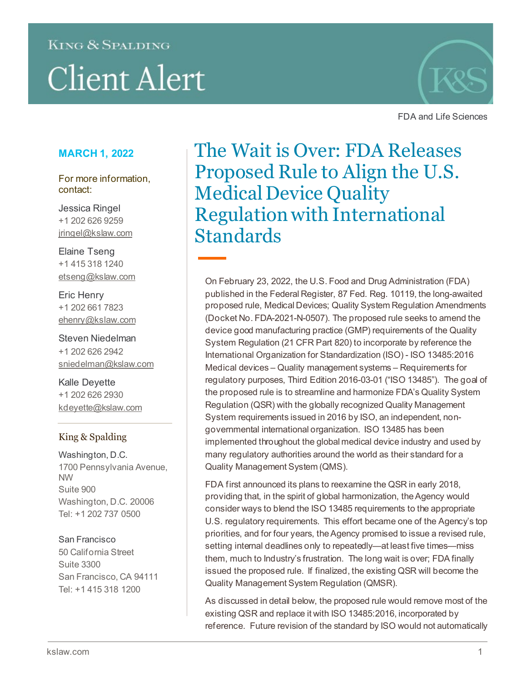# **KING & SPALDING Client Alert**



FDA and Life Sciences

# **MARCH 1, 2022**

For more information, contact:

Jessica Ringel +1 202 626 9259 jringel@kslaw.com

Elaine Tseng +1 415 318 1240 etseng@kslaw.com

Eric Henry +1 202 661 7823 ehenry@kslaw.com

Steven Niedelman +1 202 626 2942 sniedelman@kslaw.com

Kalle Deyette +1 202 626 2930 kdeyette@kslaw.com

# King & Spalding

Washington, D.C. 1700 Pennsylvania Avenue, NW Suite 900 Washington, D.C. 20006 Tel: +1 202 737 0500

# San Francisco

50 California Street Suite 3300 San Francisco, CA 94111 Tel: +1 415 318 1200

# The Wait is Over: FDA Releases Proposed Rule to Align the U.S. Medical Device Quality Regulation with International **Standards**

On February 23, 2022, the U.S. Food and Drug Administration (FDA) published in the Federal Register, 87 Fed. Reg. 10119, the long-awaited proposed rule, Medical Devices; Quality System Regulation Amendments (Docket No. FDA-2021-N-0507). The proposed rule seeks to amend the device good manufacturing practice (GMP) requirements of the Quality System Regulation (21 CFR Part 820) to incorporate by reference the International Organization for Standardization (ISO) - ISO 13485:2016 Medical devices – Quality management systems – Requirements for regulatory purposes, Third Edition 2016-03-01 ("ISO 13485"). The goal of the proposed rule is to streamline and harmonize FDA's Quality System Regulation (QSR) with the globally recognized Quality Management System requirements issued in 2016 by ISO, an independent, nongovernmental international organization. ISO 13485 has been implemented throughout the global medical device industry and used by many regulatory authorities around the world as their standard for a Quality Management System (QMS).

FDA first announced its plans to reexamine the QSR in early 2018, providing that, in the spirit of global harmonization, the Agency would consider ways to blend the ISO 13485 requirements to the appropriate U.S. regulatory requirements. This effort became one of the Agency's top priorities, and for four years, the Agency promised to issue a revised rule, setting internal deadlines only to repeatedly—at least five times—miss them, much to Industry's frustration. The long wait is over; FDA finally issued the proposed rule. If finalized, the existing QSR will become the Quality Management System Regulation (QMSR).

As discussed in detail below, the proposed rule would remove most of the existing QSR and replace it with ISO 13485:2016, incorporated by reference. Future revision of the standard by ISO would not automatically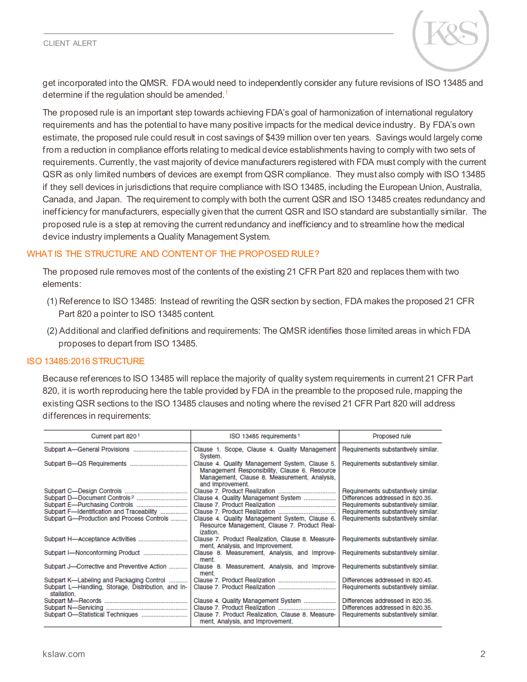#### CLIENT ALERT



get incorporated into the QMSR. FDA would need to independently consider any future revisions of ISO 13485 and determine if the regulation should be amended.<sup>[1](#page-6-0)</sup>

The proposed rule is an important step towards achieving FDA's goal of harmonization of international regulatory requirements and has the potential to have many positive impacts for the medical device industry. By FDA's own estimate, the proposed rule could result in cost savings of \$439 million over ten years. Savings would largely come from a reduction in compliance efforts relating to medical device establishments having to comply with two sets of requirements. Currently, the vast majority of device manufacturers registered with FDA must comply with the current QSR as only limited numbers of devices are exempt from QSR compliance. They must also comply with ISO 13485 if they sell devices in jurisdictions that require compliance with ISO 13485, including the European Union, Australia, Canada, and Japan. The requirement to comply with both the current QSR and ISO 13485 creates redundancy and inefficiency for manufacturers, especially given that the current QSR and ISO standard are substantially similar. The proposed rule is a step at removing the current redundancy and inefficiency and to streamline how the medical device industry implements a Quality Management System.

#### WHAT IS THE STRUCTURE AND CONTENT OF THE PROPOSED RULE?

The proposed rule removes most of the contents of the existing 21 CFR Part 820 and replaces them with two elements:

- (1) Reference to ISO 13485: Instead of rewriting the QSR section by section, FDA makes the proposed 21 CFR Part 820 a pointer to ISO 13485 content.
- (2) Additional and clarified definitions and requirements: The QMSR identifies those limited areas in which FDA proposes to depart from ISO 13485.

#### ISO 13485:2016 STRUCTURE

Because references to ISO 13485 will replace the majority of quality system requirements in current 21 CFR Part 820, it is worth reproducing here the table provided by FDA in the preamble to the proposed rule, mapping the existing QSR sections to the ISO 13485 clauses and noting where the revised 21 CFR Part 820 will address differences in requirements:

| Current part 8201                                                 | ISO 13485 requirements <sup>1</sup>                                                                                                                                 | Proposed rule                       |  |
|-------------------------------------------------------------------|---------------------------------------------------------------------------------------------------------------------------------------------------------------------|-------------------------------------|--|
|                                                                   | Clause 1. Scope, Clause 4. Quality Management<br>System.                                                                                                            | Requirements substantively similar. |  |
|                                                                   | Clause 4. Quality Management System, Clause 5.<br>Management Responsibility, Clause 6. Resource<br>Management, Clause 8. Measurement, Analysis,<br>and Improvement. | Requirements substantively similar. |  |
|                                                                   |                                                                                                                                                                     | Requirements substantively similar. |  |
| Subpart D-Document Controls <sup>2</sup>                          | Clause 4. Quality Management System                                                                                                                                 | Differences addressed in 820.35.    |  |
|                                                                   |                                                                                                                                                                     | Requirements substantively similar. |  |
| Subpart F-Identification and Traceability                         |                                                                                                                                                                     | Requirements substantively similar. |  |
| Subpart G--Production and Process Controls                        | Clause 4. Quality Management System, Clause 6.<br>Resource Management, Clause 7. Product Real-<br>ization.                                                          | Requirements substantively similar. |  |
|                                                                   | Clause 7. Product Realization, Clause 8. Measure-<br>ment, Analysis, and Improvement.                                                                               | Requirements substantively similar. |  |
|                                                                   | Clause 8. Measurement, Analysis, and Improve-<br>ment.                                                                                                              | Requirements substantively similar. |  |
| Subpart J-Corrective and Preventive Action                        | Clause 8. Measurement, Analysis, and Improve-<br>ment.                                                                                                              | Requirements substantively similar. |  |
| Subpart K—Labeling and Packaging Control                          |                                                                                                                                                                     | Differences addressed in 820.45.    |  |
| Subpart L-Handling, Storage, Distribution, and In-<br>stallation. |                                                                                                                                                                     | Requirements substantively similar. |  |
|                                                                   | Clause 4. Quality Management System                                                                                                                                 | Differences addressed in 820.35.    |  |
|                                                                   |                                                                                                                                                                     | Differences addressed in 820.35.    |  |
|                                                                   | Clause 7. Product Realization, Clause 8. Measure-<br>ment. Analysis, and Improvement.                                                                               | Requirements substantively similar. |  |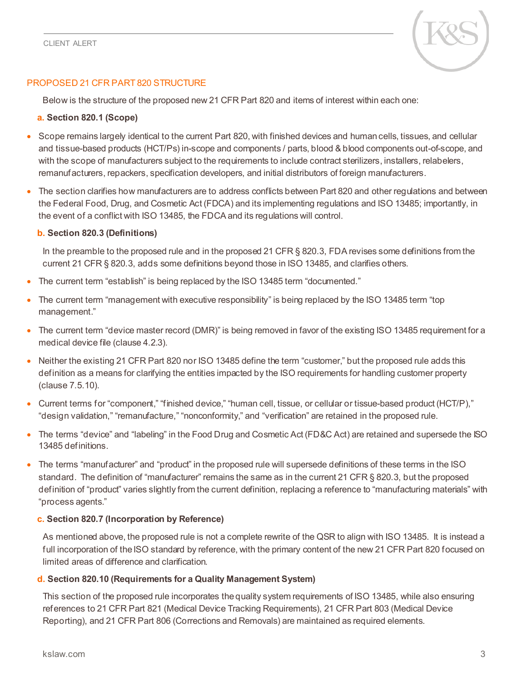

# PROPOSED 21 CFR PART 820 STRUCTURE

Below is the structure of the proposed new 21 CFR Part 820 and items of interest within each one:

#### **a. Section 820.1 (Scope)**

- Scope remains largely identical to the current Part 820, with finished devices and human cells, tissues, and cellular and tissue-based products (HCT/Ps) in-scope and components / parts, blood & blood components out-of-scope, and with the scope of manufacturers subject to the requirements to include contract sterilizers, installers, relabelers, remanufacturers, repackers, specification developers, and initial distributors of foreign manufacturers.
- The section clarifies how manufacturers are to address conflicts between Part 820 and other regulations and between the Federal Food, Drug, and Cosmetic Act (FDCA) and its implementing regulations and ISO 13485; importantly, in the event of a conflict with ISO 13485, the FDCA and its regulations will control.

#### **b. Section 820.3 (Definitions)**

In the preamble to the proposed rule and in the proposed 21 CFR § 820.3, FDA revises some definitions from the current 21 CFR § 820.3, adds some definitions beyond those in ISO 13485, and clarifies others.

- The current term "establish" is being replaced by the ISO 13485 term "documented."
- The current term "management with executive responsibility" is being replaced by the ISO 13485 term "top" management."
- The current term "device master record (DMR)" is being removed in favor of the existing ISO 13485 requirement for a medical device file (clause 4.2.3).
- Neither the existing 21 CFR Part 820 nor ISO 13485 define the term "customer," but the proposed rule adds this definition as a means for clarifying the entities impacted by the ISO requirements for handling customer property (clause 7.5.10).
- Current terms for "component," "finished device," "human cell, tissue, or cellular or tissue-based product (HCT/P)," "design validation," "remanufacture," "nonconformity," and "verification" are retained in the proposed rule.
- The terms "device" and "labeling" in the Food Drug and Cosmetic Act (FD&C Act) are retained and supersede the ISO 13485 definitions.
- The terms "manufacturer" and "product" in the proposed rule will supersede definitions of these terms in the ISO standard. The definition of "manufacturer" remains the same as in the current 21 CFR § 820.3, but the proposed definition of "product" varies slightly from the current definition, replacing a reference to "manufacturing materials" with "process agents."

#### **c. Section 820.7 (Incorporation by Reference)**

As mentioned above, the proposed rule is not a complete rewrite of the QSR to align with ISO 13485. It is instead a full incorporation of the ISO standard by reference, with the primary content of the new 21 CFR Part 820 focused on limited areas of difference and clarification.

#### **d. Section 820.10 (Requirements for a Quality Management System)**

This section of the proposed rule incorporates the quality system requirements of ISO 13485, while also ensuring references to 21 CFR Part 821 (Medical Device Tracking Requirements), 21 CFR Part 803 (Medical Device Reporting), and 21 CFR Part 806 (Corrections and Removals) are maintained as required elements.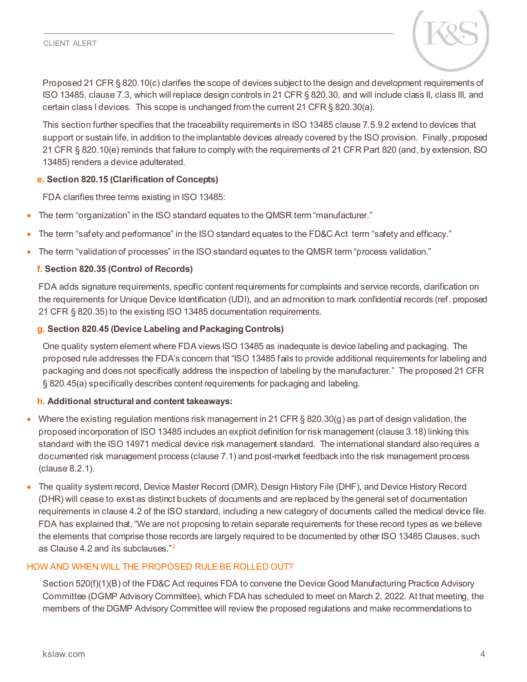

Proposed 21 CFR § 820.10(c) clarifies the scope of devices subject to the design and development requirements of ISO 13485, clause 7.3, which will replace design controls in 21 CFR § 820.30, and will include class II, class III, and certain class I devices. This scope is unchanged from the current 21 CFR § 820.30(a).

This section further specifies that the traceability requirements in ISO 13485 clause 7.5.9.2 extend to devices that support or sustain life, in addition to the implantable devices already covered by the ISO provision. Finally, proposed 21 CFR § 820.10(e) reminds that failure to comply with the requirements of 21 CFR Part 820 (and, by extension, ISO 13485) renders a device adulterated.

## **e. Section 820.15 (Clarification of Concepts)**

FDA clarifies three terms existing in ISO 13485:

- The term "organization" in the ISO standard equates to the QMSR term "manufacturer."
- The term "safety and performance" in the ISO standard equates to the FD&C Act term "safety and efficacy."
- The term "validation of processes" in the ISO standard equates to the QMSR term "process validation."

## **f. Section 820.35 (Control of Records)**

FDA adds signature requirements, specific content requirements for complaints and service records, clarification on the requirements for Unique Device Identification (UDI), and an admonition to mark confidential records (ref. proposed 21 CFR § 820.35) to the existing ISO 13485 documentation requirements.

#### **g. Section 820.45 (Device Labeling and Packaging Controls)**

One quality system element where FDA views ISO 13485 as inadequate is device labeling and packaging. The proposed rule addresses the FDA's concern that "ISO 13485 fails to provide additional requirements for labeling and packaging and does not specifically address the inspection of labeling by the manufacturer." The proposed 21 CFR § 820.45(a) specifically describes content requirements for packaging and labeling.

#### **h. Additional structural and content takeaways:**

- Where the existing regulation mentions risk management in 21 CFR § 820.30(g) as part of design validation, the proposed incorporation of ISO 13485 includes an explicit definition for risk management (clause 3.18) linking this standard with the ISO 14971 medical device risk management standard. The international standard also requires a documented risk management process (clause 7.1) and post-market feedback into the risk management process (clause 8.2.1).
- The quality system record, Device Master Record (DMR), Design History File (DHF), and Device History Record (DHR) will cease to exist as distinct buckets of documents and are replaced by the general set of documentation requirements in clause 4.2 of the ISO standard, including a new category of documents called the medical device file. FDA has explained that, "We are not proposing to retain separate requirements for these record types as we believe the elements that comprise those records are largely required to be documented by other ISO 13485 Clauses, such as Clause 4.[2](#page-6-1) and its subclauses."<sup>2</sup>

# HOW AND WHEN WILL THE PROPOSED RULE BE ROLLED OUT?

Section 520(f)(1)(B) of the FD&C Act requires FDA to convene the Device Good Manufacturing Practice Advisory Committee (DGMP Advisory Committee), which FDA has scheduled to meet on March 2, 2022. At that meeting, the members of the DGMP Advisory Committee will review the proposed regulations and make recommendations to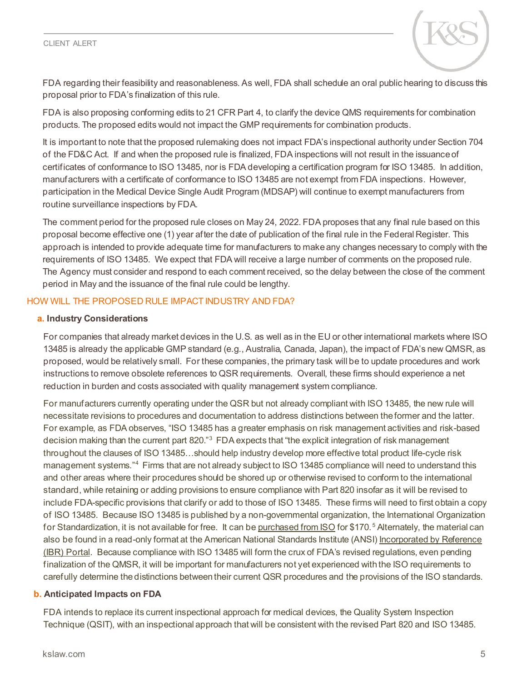#### CLIENT ALERT



FDA regarding their feasibility and reasonableness. As well, FDA shall schedule an oral public hearing to discuss this proposal prior to FDA's finalization of this rule.

FDA is also proposing conforming edits to 21 CFR Part 4, to clarify the device QMS requirements for combination products. The proposed edits would not impact the GMP requirements for combination products.

It is important to note that the proposed rulemaking does not impact FDA's inspectional authority under Section 704 of the FD&C Act. If and when the proposed rule is finalized, FDA inspections will not result in the issuance of certificates of conformance to ISO 13485, nor is FDA developing a certification program for ISO 13485. In addition, manufacturers with a certificate of conformance to ISO 13485 are not exempt from FDA inspections. However, participation in the Medical Device Single Audit Program (MDSAP) will continue to exempt manufacturers from routine surveillance inspections by FDA.

The comment period for the proposed rule closes on May 24, 2022. FDA proposes that any final rule based on this proposal become effective one (1) year after the date of publication of the final rule in the Federal Register. This approach is intended to provide adequate time for manufacturers to make any changes necessary to comply with the requirements of ISO 13485. We expect that FDA will receive a large number of comments on the proposed rule. The Agency must consider and respond to each comment received, so the delay between the close of the comment period in May and the issuance of the final rule could be lengthy.

#### HOW WILL THE PROPOSED RULE IMPACT INDUSTRY AND FDA?

#### **a. Industry Considerations**

For companies that already market devices in the U.S. as well as in the EU or other international markets where ISO 13485 is already the applicable GMP standard (e.g., Australia, Canada, Japan), the impact of FDA's new QMSR, as proposed, would be relatively small. For these companies, the primary task will be to update procedures and work instructions to remove obsolete references to QSR requirements. Overall, these firms should experience a net reduction in burden and costs associated with quality management system compliance.

For manufacturers currently operating under the QSR but not already compliant with ISO 13485, the new rule will necessitate revisions to procedures and documentation to address distinctions between the former and the latter. For example, as FDA observes, "ISO 13485 has a greater emphasis on risk management activities and risk-based decision making than the current part 820."<sup>[3](#page-6-2)</sup> FDA expects that "the explicit integration of risk management throughout the clauses of ISO 13485…should help industry develop more effective total product life-cycle risk management systems."<sup>[4](#page-6-3)</sup> Firms that are not already subject to ISO 13485 compliance will need to understand this and other areas where their procedures should be shored up or otherwise revised to conform to the international standard, while retaining or adding provisions to ensure compliance with Part 820 insofar as it will be revised to include FDA-specific provisions that clarify or add to those of ISO 13485. These firms will need to first obtain a copy of ISO 13485. Because ISO 13485 is published by a non-governmental organization, the International Organization for Standardization, it is not available for free. It can b[e purchased from ISO](https://www.iso.org/store.html.) for \$170.<sup>[5](#page-6-4)</sup> Alternately, the material can also be found in a read-only format at the American National Standards Institute (ANSI) Incorporated by Reference [\(IBR\) Portal.](https://ibr.ansi.org/Standards/iso1.aspx) Because compliance with ISO 13485 will form the crux of FDA's revised regulations, even pending finalization of the QMSR, it will be important for manufacturers not yet experienced with the ISO requirements to carefully determine the distinctions between their current QSR procedures and the provisions of the ISO standards.

#### **b. Anticipated Impacts on FDA**

FDA intends to replace its current inspectional approach for medical devices, the Quality System Inspection Technique (QSIT), with an inspectional approach that will be consistent with the revised Part 820 and ISO 13485.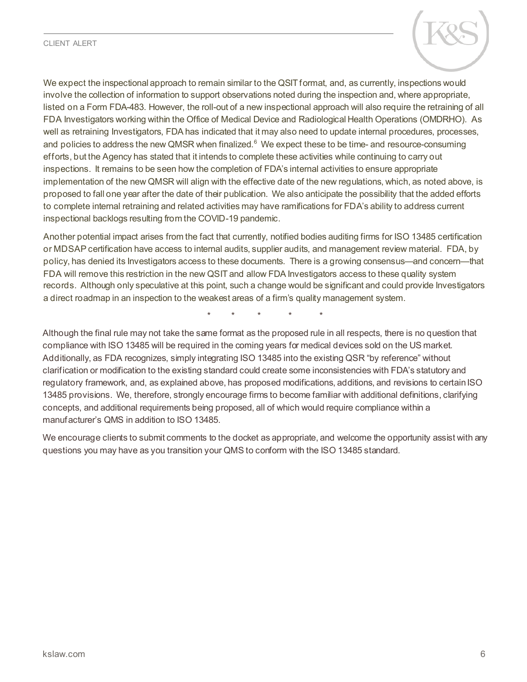#### CLIENT ALERT

We expect the inspectional approach to remain similar to the QSIT format, and, as currently, inspections would involve the collection of information to support observations noted during the inspection and, where appropriate, listed on a Form FDA-483. However, the roll-out of a new inspectional approach will also require the retraining of all FDA Investigators working within the Office of Medical Device and Radiological Health Operations (OMDRHO). As well as retraining Investigators, FDA has indicated that it may also need to update internal procedures, processes, and policies to address the new QMSR when finalized.<sup>[6](#page-6-5)</sup> We expect these to be time- and resource-consuming efforts, but the Agency has stated that it intends to complete these activities while continuing to carry out inspections. It remains to be seen how the completion of FDA's internal activities to ensure appropriate implementation of the new QMSR will align with the effective date of the new regulations, which, as noted above, is proposed to fall one year after the date of their publication. We also anticipate the possibility that the added efforts to complete internal retraining and related activities may have ramifications for FDA's ability to address current inspectional backlogs resulting from the COVID-19 pandemic.

Another potential impact arises from the fact that currently, notified bodies auditing firms for ISO 13485 certification or MDSAP certification have access to internal audits, supplier audits, and management review material. FDA, by policy, has denied its Investigators access to these documents. There is a growing consensus—and concern—that FDA will remove this restriction in the new QSIT and allow FDA Investigators access to these quality system records. Although only speculative at this point, such a change would be significant and could provide Investigators a direct roadmap in an inspection to the weakest areas of a firm's quality management system.

\* \* \* \* \*

Although the final rule may not take the same format as the proposed rule in all respects, there is no question that compliance with ISO 13485 will be required in the coming years for medical devices sold on the US market. Additionally, as FDA recognizes, simply integrating ISO 13485 into the existing QSR "by reference" without clarification or modification to the existing standard could create some inconsistencies with FDA's statutory and regulatory framework, and, as explained above, has proposed modifications, additions, and revisions to certain ISO 13485 provisions. We, therefore, strongly encourage firms to become familiar with additional definitions, clarifying concepts, and additional requirements being proposed, all of which would require compliance within a manufacturer's QMS in addition to ISO 13485.

We encourage clients to submit comments to the docket as appropriate, and welcome the opportunity assist with any questions you may have as you transition your QMS to conform with the ISO 13485 standard.